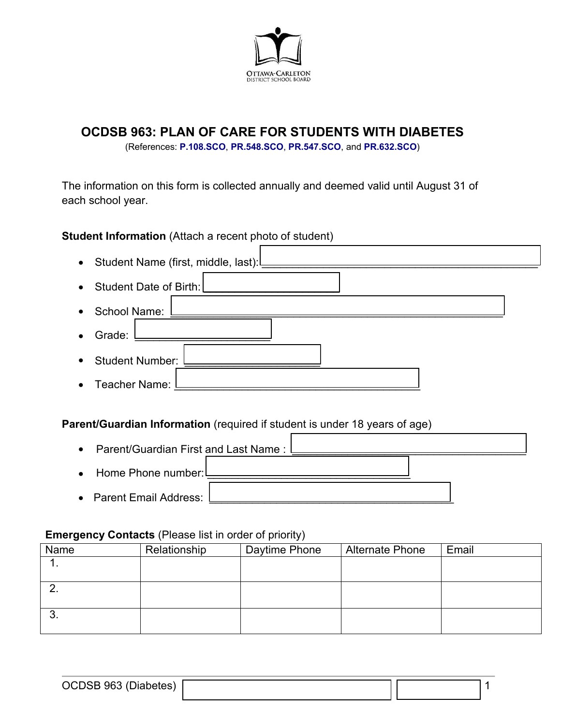

# **OCDSB 963: PLAN OF CARE FOR STUDENTS WITH DIABETES**

(References: **[P.108.SCO](https://weblink.ocdsb.ca/WebLink/0/edoc/2977064/P%20108%20SCO%20-%20Care%20of%20Students%20with%20Severe,%20Life-threatening%20Medical%20Conditions.pdf)**, **[PR.548.SCO](https://weblink.ocdsb.ca/WebLink/0/edoc/2975376/PR%20547%20SCO%20-%20Providing%20Emergency%20Medical%20Care%20for%20Students.pdf)**, **[PR.547.SCO](https://weblink.ocdsb.ca/WebLink/0/edoc/2969842/PR%20548%20SCO%20-%20Severe,%20Life%20Threatening%20Medical%20Conditions%20FINAL.pdf)**, and **[PR.632.SCO](https://weblink.ocdsb.ca/WebLink/0/edoc/2954438/PR%20632%20SCO%20-%20Diabetes%20Management%20In%20Schools%20incl%20Forms%20and%20Guidelines.pdf)**)

The information on this form is collected annually and deemed valid until August 31 of each school year.

**Student Information** (Attach a recent photo of student)

| $\bullet$ | Student Name (first, middle, last): |
|-----------|-------------------------------------|
| $\bullet$ | Student Date of Birth:              |
| $\bullet$ | School Name:                        |
|           | Grade:                              |
| $\bullet$ | <b>Student Number:</b>              |
| $\bullet$ | Teacher Name:                       |
|           |                                     |

**Parent/Guardian Information** (required if student is under 18 years of age)



# **Emergency Contacts** (Please list in order of priority)

| Relationship | Daytime Phone | <b>Alternate Phone</b> | Email |
|--------------|---------------|------------------------|-------|
|              |               |                        |       |
|              |               |                        |       |
|              |               |                        |       |
|              |               |                        |       |
|              |               |                        |       |
|              |               |                        |       |
|              |               |                        |       |

| $\sim$                |  |  |
|-----------------------|--|--|
| 7165<br>,,,,          |  |  |
| 00000000<br>- - - - - |  |  |
|                       |  |  |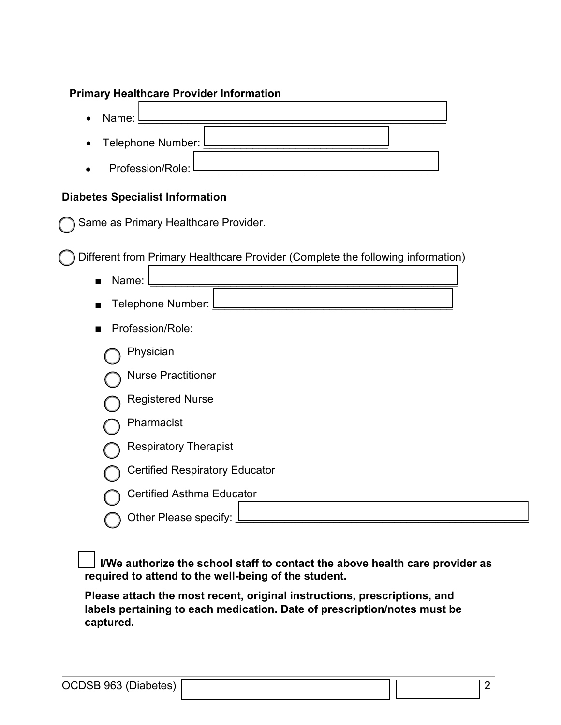### **Primary Healthcare Provider Information**

Profession/Role: • Name: <u>Letter and the set of the set of the set of the set of the set of the set of the set of the set of the set of the set of the set of the set of the set of the set of the set of the set of the set of the set of the </u> • Telephone Number:

#### **Diabetes Specialist Information**

Same as Primary Healthcare Provider.

Different from Primary Healthcare Provider (Complete the following information)

■ Name: \_\_\_\_\_\_\_\_\_\_\_\_\_\_\_\_\_\_\_\_\_\_\_\_\_\_\_\_\_\_\_\_\_\_\_\_\_\_\_\_\_\_\_\_\_\_\_\_\_\_ Telephone Number: ■ Profession/Role: Physician Nurse Practitioner Registered Nurse Pharmacist Respiratory Therapist Certified Respiratory Educator Certified Asthma Educator

Other Please specify:

 **I/We authorize the school staff to contact the above health care provider as required to attend to the well-being of the student.**

**Please attach the most recent, original instructions, prescriptions, and labels pertaining to each medication. Date of prescription/notes must be captured.**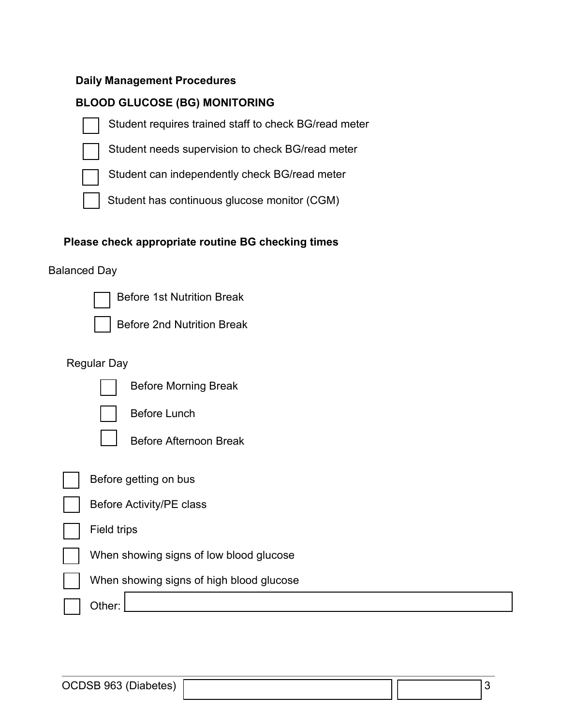#### **Daily Management Procedures**

### **BLOOD GLUCOSE (BG) MONITORING**

- Student requires trained staff to check BG/read meter
- Student needs supervision to check BG/read meter
- 

Student can independently check BG/read meter

Student has continuous glucose monitor (CGM)

#### **Please check appropriate routine BG checking times**

#### Balanced Day



Before 1st Nutrition Break



#### Regular Day



Before Morning Break



Before Lunch



Before Afternoon Break

Before getting on bus

Field trips

When showing signs of low blood glucose

When showing signs of high blood glucose

Other: \_\_\_\_\_\_\_\_\_\_\_\_\_\_\_\_\_\_\_\_\_\_\_\_\_\_\_\_\_\_\_\_\_\_\_\_\_\_\_\_\_\_\_\_\_\_\_\_\_\_\_\_\_\_\_\_\_\_\_\_\_\_\_

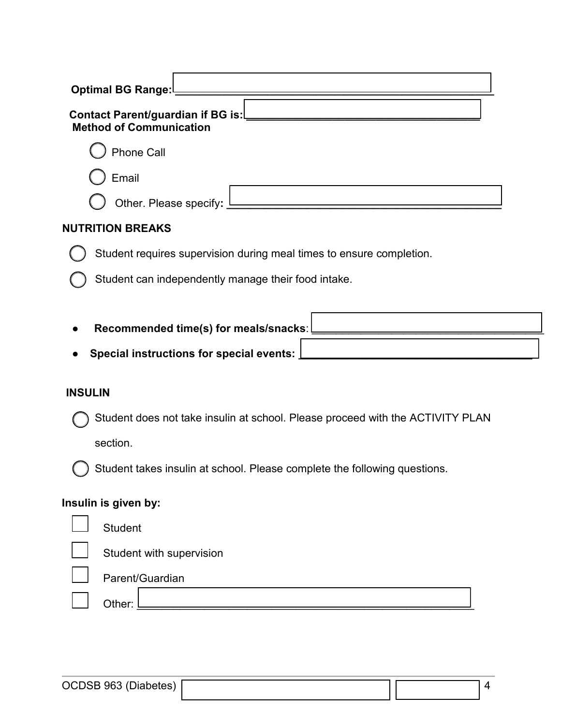| <b>Optimal BG Range:</b>                                                          |  |  |  |  |  |
|-----------------------------------------------------------------------------------|--|--|--|--|--|
| <b>Contact Parent/guardian if BG is:</b><br><b>Method of Communication</b>        |  |  |  |  |  |
| <b>Phone Call</b>                                                                 |  |  |  |  |  |
| Email                                                                             |  |  |  |  |  |
| Other. Please specify: $l$                                                        |  |  |  |  |  |
| <b>NUTRITION BREAKS</b>                                                           |  |  |  |  |  |
| Student requires supervision during meal times to ensure completion.              |  |  |  |  |  |
| Student can independently manage their food intake.                               |  |  |  |  |  |
| Recommended time(s) for meals/snacks:<br>Special instructions for special events: |  |  |  |  |  |
| <b>INSULIN</b>                                                                    |  |  |  |  |  |
|                                                                                   |  |  |  |  |  |
| Student does not take insulin at school. Please proceed with the ACTIVITY PLAN    |  |  |  |  |  |
| section.                                                                          |  |  |  |  |  |
| Student takes insulin at school. Please complete the following questions.         |  |  |  |  |  |
| Insulin is given by:                                                              |  |  |  |  |  |
| <b>Student</b>                                                                    |  |  |  |  |  |
| Student with supervision                                                          |  |  |  |  |  |
| Parent/Guardian                                                                   |  |  |  |  |  |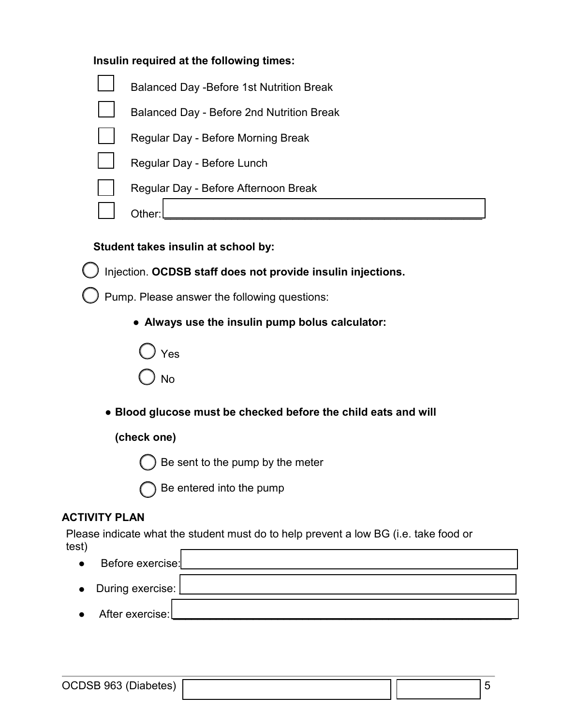|  |  |  | Insulin required at the following times: |  |
|--|--|--|------------------------------------------|--|
|--|--|--|------------------------------------------|--|



# **Student takes insulin at school by:**

Injection. **OCDSB staff does not provide insulin injections.**

) Pump. Please answer the following questions:

● **Always use the insulin pump bolus calculator:**



● **Blood glucose must be checked before the child eats and will**

# **(check one)**

Be sent to the pump by the meter

Be entered into the pump

# **ACTIVITY PLAN**

Please indicate what the student must do to help prevent a low BG (i.e. take food or test) г

| $\bullet$ | Before exercise:     |  |
|-----------|----------------------|--|
|           | • During exercise: [ |  |
|           | After exercise:      |  |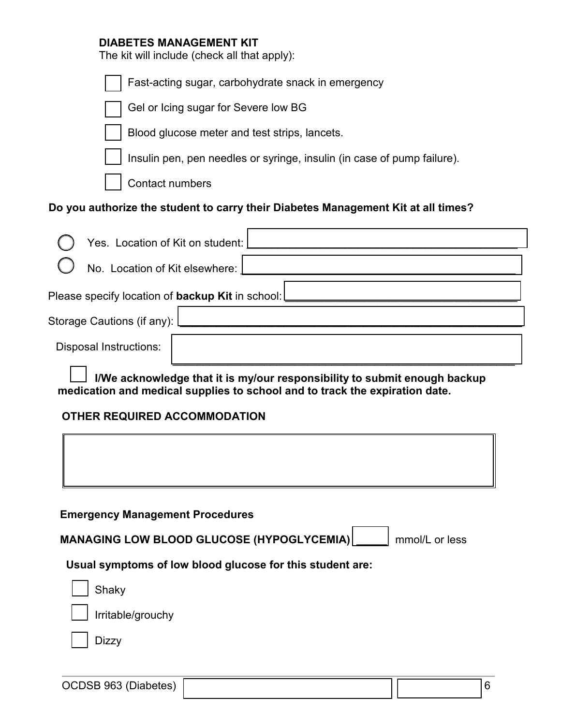#### **DIABETES MANAGEMENT KIT**

The kit will include (check all that apply):

| id in will lifelddo (orloch all triat apply).                                                                                                            |
|----------------------------------------------------------------------------------------------------------------------------------------------------------|
| Fast-acting sugar, carbohydrate snack in emergency                                                                                                       |
| Gel or Icing sugar for Severe low BG                                                                                                                     |
| Blood glucose meter and test strips, lancets.                                                                                                            |
| Insulin pen, pen needles or syringe, insulin (in case of pump failure).                                                                                  |
| <b>Contact numbers</b>                                                                                                                                   |
| Do you authorize the student to carry their Diabetes Management Kit at all times?                                                                        |
| Yes. Location of Kit on student:                                                                                                                         |
| No. Location of Kit elsewhere:                                                                                                                           |
| Please specify location of <b>backup Kit</b> in school:                                                                                                  |
| Storage Cautions (if any): [                                                                                                                             |
| <b>Disposal Instructions:</b>                                                                                                                            |
| I/We acknowledge that it is my/our responsibility to submit enough backup<br>medication and medical supplies to school and to track the expiration date. |
| <b>OTHER REQUIRED ACCOMMODATION</b>                                                                                                                      |
|                                                                                                                                                          |
| <b>Emergency Management Procedures</b>                                                                                                                   |
| MANAGING LOW BLOOD GLUCOSE (HYPOGLYCEMIA)<br>mmol/L or less                                                                                              |
| Usual symptoms of low blood glucose for this student are:                                                                                                |
| Shaky                                                                                                                                                    |
| Irritable/grouchy                                                                                                                                        |

 $\Box$  Dizzy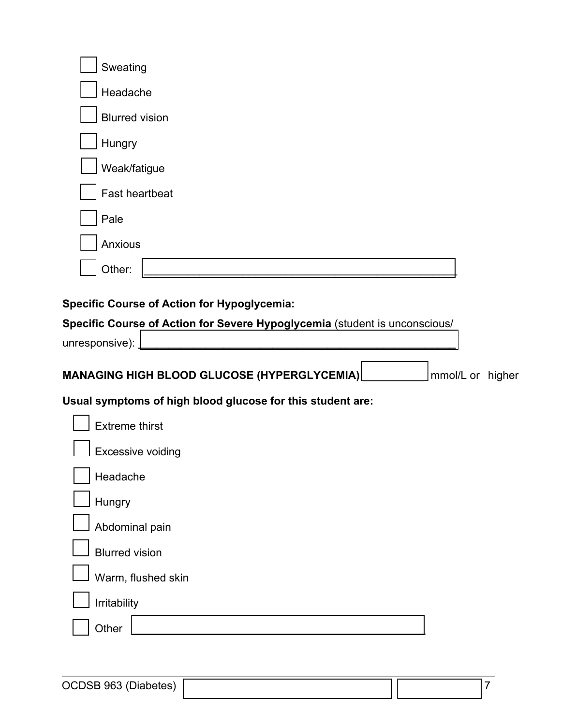| Sweating                                                   |
|------------------------------------------------------------|
| Headache                                                   |
| <b>Blurred vision</b>                                      |
| Hungry                                                     |
| Weak/fatigue                                               |
| <b>Fast heartbeat</b>                                      |
| Pale                                                       |
| Anxious                                                    |
| Other:                                                     |
| $\mathbf{r}$ . $\mathbf{r}$<br>f Astian fan Llunaanbraamte |

**Specific Course of Action for Hypoglycemia:**

| Specific Course of Action for Severe Hypoglycemia (student is unconscious/ |
|----------------------------------------------------------------------------|
| unresponsive):                                                             |
| MANAGING HIGH BLOOD GLUCOSE (HYPERGLYCEMIA)<br>mmol/L or higher            |
| Usual symptoms of high blood glucose for this student are:                 |
| <b>Extreme thirst</b>                                                      |
| <b>Excessive voiding</b>                                                   |
| Headache                                                                   |
| Hungry                                                                     |
| Abdominal pain                                                             |
| <b>Blurred vision</b>                                                      |
| Warm, flushed skin                                                         |
| Irritability                                                               |
| Other                                                                      |
|                                                                            |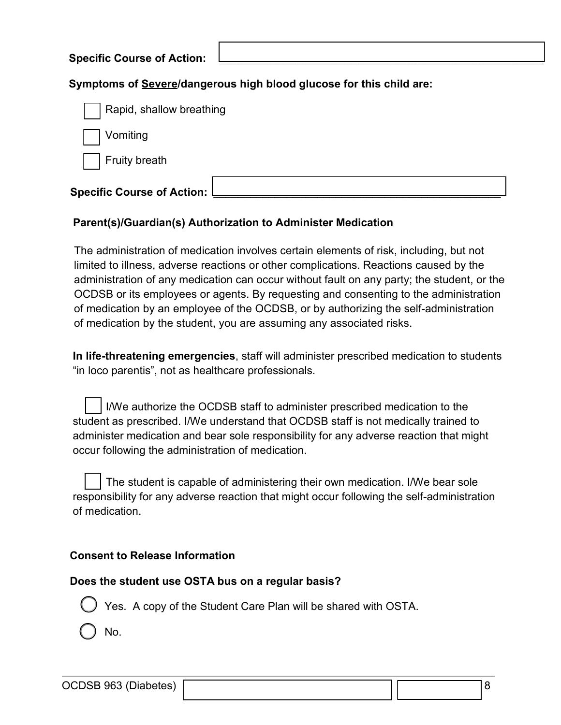| <b>Specific Course of Action:</b> |  |
|-----------------------------------|--|
|                                   |  |

#### **Symptoms of Severe/dangerous high blood glucose for this child are:**

| Rapid, shallow breathing            |  |
|-------------------------------------|--|
| Vomiting                            |  |
| Fruity breath                       |  |
| <b>Specific Course of Action: I</b> |  |

#### **Parent(s)/Guardian(s) Authorization to Administer Medication**

The administration of medication involves certain elements of risk, including, but not limited to illness, adverse reactions or other complications. Reactions caused by the administration of any medication can occur without fault on any party; the student, or the OCDSB or its employees or agents. By requesting and consenting to the administration of medication by an employee of the OCDSB, or by authorizing the self-administration of medication by the student, you are assuming any associated risks.

**In life-threatening emergencies**, staff will administer prescribed medication to students "in loco parentis", not as healthcare professionals.

I/We authorize the OCDSB staff to administer prescribed medication to the student as prescribed. I/We understand that OCDSB staff is not medically trained to administer medication and bear sole responsibility for any adverse reaction that might occur following the administration of medication.

The student is capable of administering their own medication. I/We bear sole responsibility for any adverse reaction that might occur following the self-administration of medication.

# **Consent to Release Information**

#### **Does the student use OSTA bus on a regular basis?**



No.